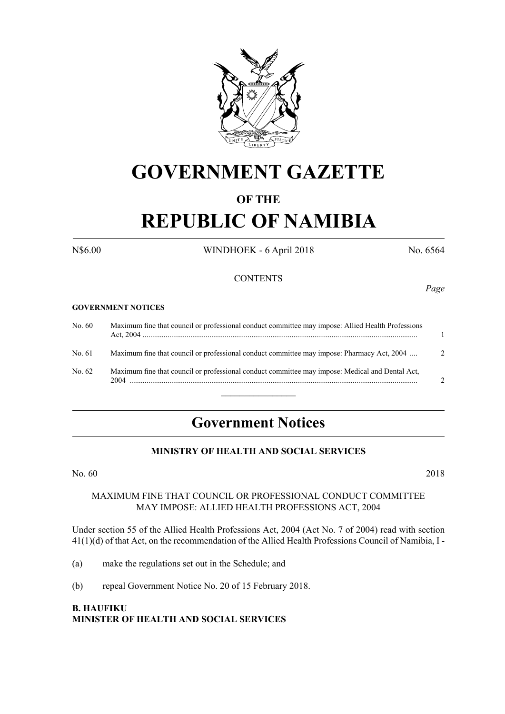

# **GOVERNMENT GAZETTE**

# **OF THE**

# **REPUBLIC OF NAMIBIA**

N\$6.00 WINDHOEK - 6 April 2018 No. 6564

#### **CONTENTS**

#### **GOVERNMENT NOTICES**

| No. 60 | Maximum fine that council or professional conduct committee may impose: Allied Health Professions |               |
|--------|---------------------------------------------------------------------------------------------------|---------------|
| No. 61 | Maximum fine that council or professional conduct committee may impose: Pharmacy Act, 2004        | $\mathcal{L}$ |
| No. 62 | Maximum fine that council or professional conduct committee may impose: Medical and Dental Act,   | $\mathcal{D}$ |

# **Government Notices**

#### **MINISTRY OF HEALTH AND SOCIAL SERVICES**

No. 60 2018

#### MAXIMUM FINE THAT COUNCIL OR PROFESSIONAL CONDUCT COMMITTEE MAY IMPOSE: ALLIED HEALTH PROFESSIONS ACT, 2004

Under section 55 of the Allied Health Professions Act, 2004 (Act No. 7 of 2004) read with section 41(1)(d) of that Act, on the recommendation of the Allied Health Professions Council of Namibia, I -

- (a) make the regulations set out in the Schedule; and
- (b) repeal Government Notice No. 20 of 15 February 2018.

#### **B. HAUFIKU MINISTER OF HEALTH AND SOCIAL SERVICES**

## *Page*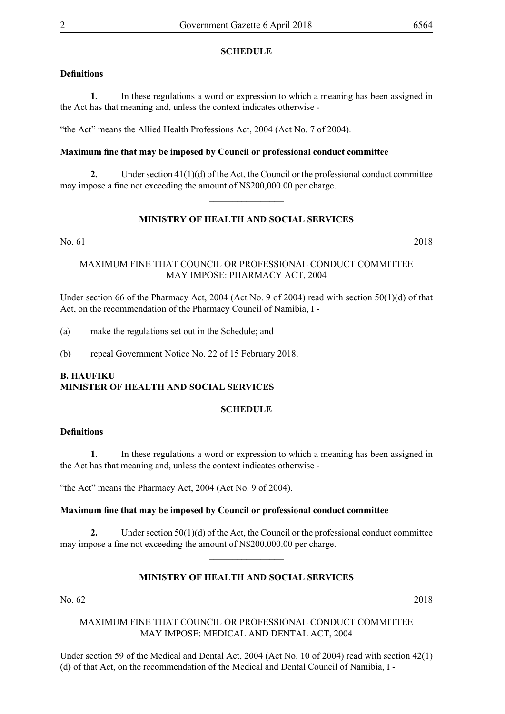#### **SCHEDULE**

#### **Definitions**

**1.** In these regulations a word or expression to which a meaning has been assigned in the Act has that meaning and, unless the context indicates otherwise -

"the Act" means the Allied Health Professions Act, 2004 (Act No. 7 of 2004).

#### **Maximum fine that may be imposed by Council or professional conduct committee**

**2.** Under section 41(1)(d) of the Act, the Council or the professional conduct committee may impose a fine not exceeding the amount of N\$200,000.00 per charge.

### **MINISTRY OF HEALTH AND SOCIAL SERVICES**

 $\frac{1}{2}$ 

#### No. 61 2018

### MAXIMUM FINE THAT COUNCIL OR PROFESSIONAL CONDUCT COMMITTEE MAY IMPOSE: PHARMACY ACT, 2004

Under section 66 of the Pharmacy Act, 2004 (Act No. 9 of 2004) read with section  $50(1)(d)$  of that Act, on the recommendation of the Pharmacy Council of Namibia, I -

(a) make the regulations set out in the Schedule; and

(b) repeal Government Notice No. 22 of 15 February 2018.

### **B. HAUFIKU MINISTER OF HEALTH AND SOCIAL SERVICES**

#### **SCHEDULE**

#### **Definitions**

**1.** In these regulations a word or expression to which a meaning has been assigned in the Act has that meaning and, unless the context indicates otherwise -

"the Act" means the Pharmacy Act, 2004 (Act No. 9 of 2004).

#### **Maximum fine that may be imposed by Council or professional conduct committee**

**2.** Under section 50(1)(d) of the Act, the Council or the professional conduct committee may impose a fine not exceeding the amount of N\$200,000.00 per charge.

 $\frac{1}{2}$ 

### **MINISTRY OF HEALTH AND SOCIAL SERVICES**

No. 62 2018

#### MAXIMUM FINE THAT COUNCIL OR PROFESSIONAL CONDUCT COMMITTEE MAY IMPOSE: MEDICAL AND DENTAL ACT, 2004

Under section 59 of the Medical and Dental Act, 2004 (Act No. 10 of 2004) read with section 42(1) (d) of that Act, on the recommendation of the Medical and Dental Council of Namibia, I -